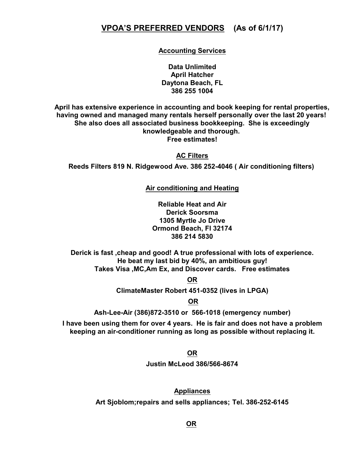# **VPOA'S PREFERRED VENDORS (As of 6/1/17)**

**Accounting Services**

**Data Unlimited April Hatcher Daytona Beach, FL 386 255 1004**

**April has extensive experience in accounting and book keeping for rental properties, having owned and managed many rentals herself personally over the last 20 years! She also does all associated business bookkeeping. She is exceedingly knowledgeable and thorough. Free estimates!**

**AC Filters**

**Reeds Filters 819 N. Ridgewood Ave. 386 252-4046 ( Air conditioning filters)** 

**Air conditioning and Heating**

**Reliable Heat and Air Derick Soorsma 1305 Myrtle Jo Drive Ormond Beach, Fl 32174 386 214 5830**

**Derick is fast ,cheap and good! A true professional with lots of experience. He beat my last bid by 40%, an ambitious guy! Takes Visa ,MC,Am Ex, and Discover cards. Free estimates**

**OR**

**ClimateMaster Robert 451-0352 (lives in LPGA)**

 **OR**

**Ash-Lee-Air (386)872-3510 or 566-1018 (emergency number)**

**I have been using them for over 4 years. He is fair and does not have a problem keeping an air-conditioner running as long as possible without replacing it.**

**OR**

**Justin McLeod 386/566-8674**

**Appliances Art Sjoblom;repairs and sells appliances; Tel. 386-252-6145**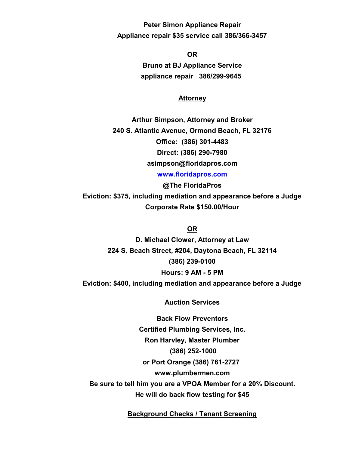**Peter Simon Appliance Repair Appliance repair \$35 service call 386/366-3457**

> **OR Bruno at BJ Appliance Service appliance repair 386/299-9645**

### **Attorney**

**Arthur Simpson, Attorney and Broker 240 S. Atlantic Avenue, Ormond Beach, FL 32176 Office: (386) 301-4483 Direct: (386) 290-7980 asimpson@floridapros.com**

**[www.floridapros.com](http://www.floridapros.com)**

**@The FloridaPros Eviction: \$375, including mediation and appearance before a Judge Corporate Rate \$150.00/Hour**

### **OR**

**D. Michael Clower, Attorney at Law 224 S. Beach Street, #204, Daytona Beach, FL 32114 (386) 239-0100 Hours: 9 AM - 5 PM Eviction: \$400, including mediation and appearance before a Judge**

### **Auction Services**

**Back Flow Preventors Certified Plumbing Services, Inc. Ron Harvley, Master Plumber (386) 252-1000 or Port Orange (386) 761-2727 www.plumbermen.com Be sure to tell him you are a VPOA Member for a 20% Discount. He will do back flow testing for \$45**

**Background Checks / Tenant Screening**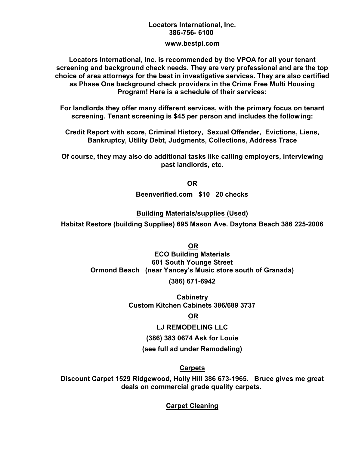# **Locators International, Inc. 386-756- 6100**

**www.bestpi.com**

**Locators International, Inc. is recommended by the VPOA for all your tenant screening and background check needs. They are very professional and are the top choice of area attorneys for the best in investigative services. They are also certified as Phase One background check providers in the Crime Free Multi Housing Program! Here is a schedule of their services:**

**For landlords they offer many different services, with the primary focus on tenant screening. Tenant screening is \$45 per person and includes the following:**

**Credit Report with score, Criminal History, Sexual Offender, Evictions, Liens, Bankruptcy, Utility Debt, Judgments, Collections, Address Trace**

**Of course, they may also do additional tasks like calling employers, interviewing past landlords, etc.**

**OR**

**Beenverified.com \$10 20 checks**

**Building Materials/supplies (Used)**

**Habitat Restore (building Supplies) 695 Mason Ave. Daytona Beach 386 225-2006**

 **OR ECO Building Materials 601 South Younge Street Ormond Beach (near Yancey's Music store south of Granada)**

**(386) 671-6942**

**Cabinetry Custom Kitchen Cabinets 386/689 3737**

# **OR**

### **LJ REMODELING LLC**

**(386) 383 0674 Ask for Louie**

**(see full ad under Remodeling)**

# **Carpets**

**Discount Carpet 1529 Ridgewood, Holly Hill 386 673-1965. Bruce gives me great deals on commercial grade quality carpets.** 

**Carpet Cleaning**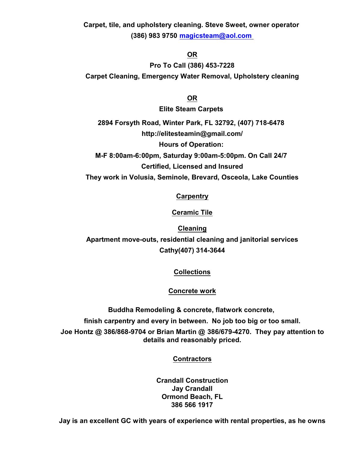**Carpet, tile, and upholstery cleaning. Steve Sweet, owner operator (386) 983 9750 [magicsteam@aol.com](mailto:magicsteam@aol.com)**

## **OR**

**Pro To Call (386) 453-7228 Carpet Cleaning, Emergency Water Removal, Upholstery cleaning**

**OR**

**Elite Steam Carpets** 

**2894 Forsyth Road, Winter Park, FL 32792, (407) 718-6478 http://elitesteamin@gmail.com/ Hours of Operation: M-F 8:00am-6:00pm, Saturday 9:00am-5:00pm. On Call 24/7** 

**Certified, Licensed and Insured**

**They work in Volusia, Seminole, Brevard, Osceola, Lake Counties**

**Carpentry**

**Ceramic Tile**

**Cleaning Apartment move-outs, residential cleaning and janitorial services Cathy(407) 314-3644**

**Collections**

**Concrete work**

**Buddha Remodeling & concrete, flatwork concrete,** 

**finish carpentry and every in between. No job too big or too small.**

**Joe Hontz @ 386/868-9704 or Brian Martin @ 386/679-4270. They pay attention to details and reasonably priced.**

**Contractors**

**Crandall Construction Jay Crandall Ormond Beach, FL 386 566 1917**

**Jay is an excellent GC with years of experience with rental properties, as he owns**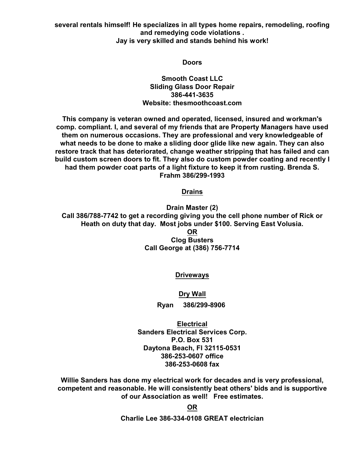**several rentals himself! He specializes in all types home repairs, remodeling, roofing and remedying code violations . Jay is very skilled and stands behind his work!**

#### **Doors**

**Smooth Coast LLC Sliding Glass Door Repair 386-441-3635 Website: thesmoothcoast.com**

**This company is veteran owned and operated, licensed, insured and workman's comp. compliant. I, and several of my friends that are Property Managers have used them on numerous occasions. They are professional and very knowledgeable of what needs to be done to make a sliding door glide like new again. They can also restore track that has deteriorated, change weather stripping that has failed and can build custom screen doors to fit. They also do custom powder coating and recently I had them powder coat parts of a light fixture to keep it from rusting. Brenda S. Frahm 386/299-1993**

#### **Drains**

**Drain Master (2) Call 386/788-7742 to get a recording giving you the cell phone number of Rick or Heath on duty that day. Most jobs under \$100. Serving East Volusia. OR Clog Busters Call George at (386) 756-7714**

### **Driveways**

### **Dry Wall**

**Ryan 386/299-8906** 

**Electrical Sanders Electrical Services Corp. P.O. Box 531 Daytona Beach, Fl 32115-0531 386-253-0607 office 386-253-0608 fax**

**Willie Sanders has done my electrical work for decades and is very professional, competent and reasonable. He will consistently beat others' bids and is supportive of our Association as well! Free estimates.**

> **OR Charlie Lee 386-334-0108 GREAT electrician**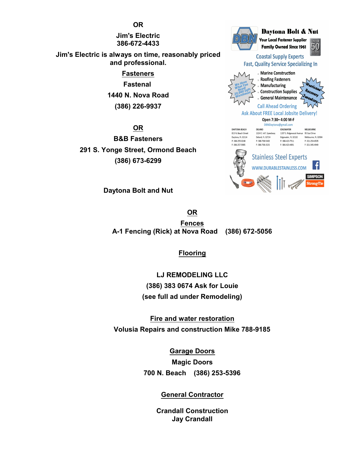**Jim's Electric 386-672-4433**

**Jim's Electric is always on time, reasonably priced and professional.**

> **Fasteners Fastenal 1440 N. Nova Road (386) 226-9937**

**OR B&B Fasteners 291 S. Yonge Street, Ormond Beach (386) 673-6299**

**Daytona Bolt and Nut**

**OR Fences A-1 Fencing (Rick) at Nova Road (386) 672-5056**

# **Flooring**

**LJ REMODELING LLC (386) 383 0674 Ask for Louie (see full ad under Remodeling)**

**Fire and water restoration Volusia Repairs and construction Mike 788-9185**

> **Garage Doors Magic Doors 700 N. Beach (386) 253-5396**

# **General Contractor**

**Crandall Construction Jay Crandall**



**OR**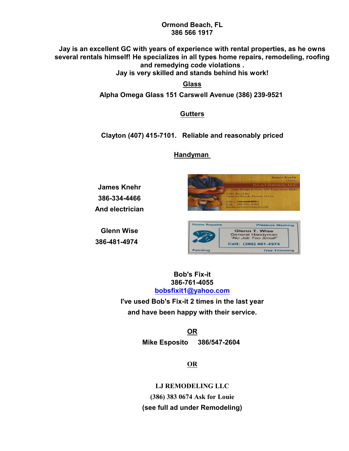### **Ormond Beach, FL 386 566 1917**

**Jay is an excellent GC with years of experience with rental properties, as he owns several rentals himself! He specializes in all types home repairs, remodeling, roofing and remedying code violations .**

**Jay is very skilled and stands behind his work!**

**Glass**

**Alpha Omega Glass 151 Carswell Avenue (386) 239-9521** 

**Gutters**

**Clayton (407) 415-7101. Reliable and reasonably priced**

# **Handyman**

**James Knehr 386-334-4466 And electrician**

**Glenn Wise 386-481-4974** 



| <b>Home Repairs</b> | <b>Pressure Washing</b>                                               |
|---------------------|-----------------------------------------------------------------------|
|                     | <b>Glenn T. Wise</b><br><b>General Handyman</b><br>"No Job Too Small" |
|                     | Cell: (386) 481-4974                                                  |
| <b>Painting</b>     | <b>Tree Trimming</b>                                                  |

**Bob's Fix-it 386-761-4055 [bobsfixit1@yahoo.com](mailto:bobsfixit1@yahoo.com)**

**I've used Bob's Fix-it 2 times in the last year and have been happy with their service.**

> **OR Mike Esposito 386/547-2604**

> > **OR**

**LJ REMODELING LLC (386) 383 0674 Ask for Louie (see full ad under Remodeling)**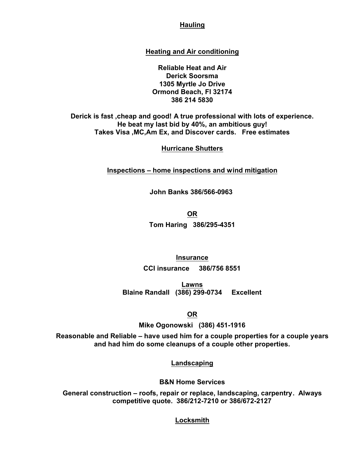## **Hauling**

### **Heating and Air conditioning**

**Reliable Heat and Air Derick Soorsma 1305 Myrtle Jo Drive Ormond Beach, Fl 32174 386 214 5830**

**Derick is fast ,cheap and good! A true professional with lots of experience. He beat my last bid by 40%, an ambitious guy! Takes Visa ,MC,Am Ex, and Discover cards. Free estimates**

### **Hurricane Shutters**

**Inspections – home inspections and wind mitigation**

**John Banks 386/566-0963** 

**OR**

**Tom Haring 386/295-4351**

**Insurance CCI insurance 386/756 8551**

**Lawns Blaine Randall (386) 299-0734 Excellent**

**OR**

**Mike Ogonowski (386) 451-1916**

**Reasonable and Reliable – have used him for a couple properties for a couple years and had him do some cleanups of a couple other properties.**

**Landscaping**

**B&N Home Services**

**General construction – roofs, repair or replace, landscaping, carpentry. Always competitive quote. 386/212-7210 or 386/672-2127**

**Locksmith**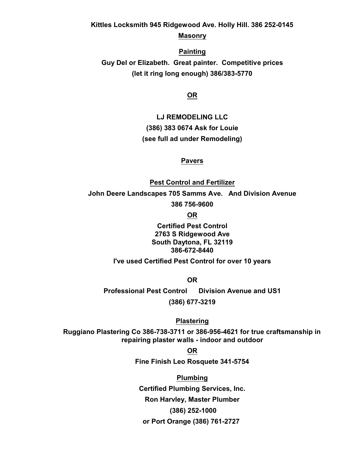**Kittles Locksmith 945 Ridgewood Ave. Holly Hill. 386 252-0145**

**Masonry**

**Painting Guy Del or Elizabeth. Great painter. Competitive prices (let it ring long enough) 386/383-5770**

**OR**

**LJ REMODELING LLC (386) 383 0674 Ask for Louie (see full ad under Remodeling)**

**Pavers**

**Pest Control and Fertilizer John Deere Landscapes 705 Samms Ave. And Division Avenue 386 756-9600**

**OR**

**Certified Pest Control 2763 S Ridgewood Ave South Daytona, FL 32119 386-672-8440**

**I've used Certified Pest Control for over 10 years**

**OR**

**Professional Pest Control Division Avenue and US1 (386) 677-3219**

**Plastering**

**Ruggiano Plastering Co 386-738-3711 or 386-956-4621 for true craftsmanship in repairing plaster walls - indoor and outdoor**

**OR**

**Fine Finish Leo Rosquete 341-5754**

**Plumbing Certified Plumbing Services, Inc. Ron Harvley, Master Plumber (386) 252-1000 or Port Orange (386) 761-2727**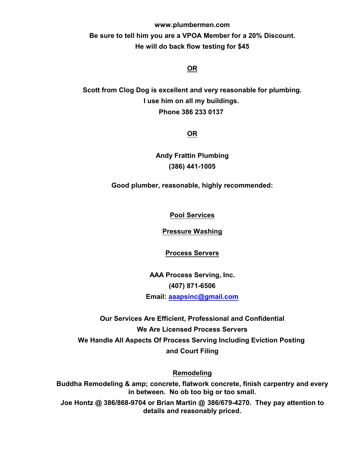**www.plumbermen.com Be sure to tell him you are a VPOA Member for a 20% Discount. He will do back flow testing for \$45**

# **OR**

**Scott from Clog Dog is excellent and very reasonable for plumbing. I use him on all my buildings. Phone 386 233 0137** 

# **OR**

**Andy Frattin Plumbing (386) 441-1005**

**Good plumber, reasonable, highly recommended:**

**Pool Services**

**Pressure Washing**

**Process Servers**

**AAA Process Serving, Inc. (407) 871-6506 Email: [aaapsinc@gmail.com](mailto:aaapsinc@gmail.com)**

**Our Services Are Efficient, Professional and Confidential We Are Licensed Process Servers We Handle All Aspects Of Process Serving Including Eviction Posting and Court Filing**

**Remodeling**

**Buddha Remodeling & amp; concrete, flatwork concrete, finish carpentry and every in between. No ob too big or too small.**

**Joe Hontz @ 386/868-9704 or Brian Martin @ 386/679-4270. They pay attention to details and reasonably priced.**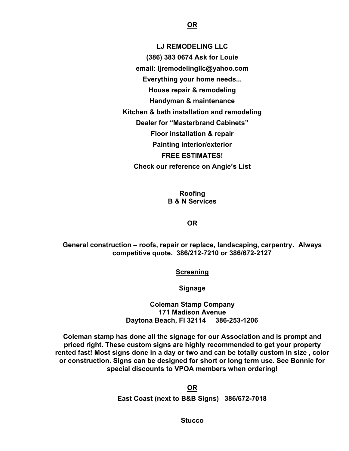**LJ REMODELING LLC (386) 383 0674 Ask for Louie email: ljremodelingllc@yahoo.com Everything your home needs... House repair & remodeling Handyman & maintenance Kitchen & bath installation and remodeling Dealer for "Masterbrand Cabinets" Floor installation & repair Painting interior/exterior FREE ESTIMATES! Check our reference on Angie's List**

> **Roofing B & N Services**

> > **OR**

**General construction – roofs, repair or replace, landscaping, carpentry. Always competitive quote. 386/212-7210 or 386/672-2127**

**Screening**

**Signage**

**Coleman Stamp Company 171 Madison Avenue Daytona Beach, Fl 32114 386-253-1206**

**Coleman stamp has done all the signage for our Association and is prompt and priced right. These custom signs are highly recommended to get your property rented fast! Most signs done in a day or two and can be totally custom in size , color or construction. Signs can be designed for short or long term use. See Bonnie for special discounts to VPOA members when ordering!**

> **OR East Coast (next to B&B Signs) 386/672-7018**

> > **Stucco**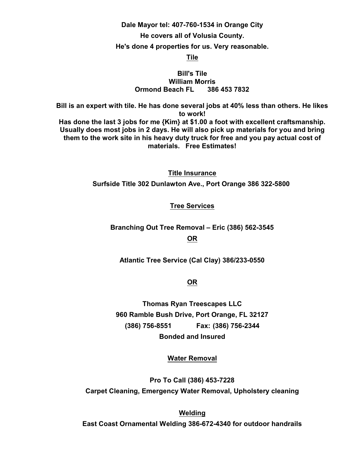#### **Dale Mayor tel: 407-760-1534 in Orange City**

#### **He covers all of Volusia County.**

#### **He's done 4 properties for us. Very reasonable.**

#### **Tile**

### **Bill's Tile William Morris Ormond Beach FL 386 453 7832**

**Bill is an expert with tile. He has done several jobs at 40% less than others. He likes to work! Has done the last 3 jobs for me {Kim} at \$1.00 a foot with excellent craftsmanship. Usually does most jobs in 2 days. He will also pick up materials for you and bring them to the work site in his heavy duty truck for free and you pay actual cost of materials. Free Estimates!**

**Title Insurance**

**Surfside Title 302 Dunlawton Ave., Port Orange 386 322-5800** 

#### **Tree Services**

**Branching Out Tree Removal – Eric (386) 562-3545 OR**

**Atlantic Tree Service (Cal Clay) 386/233-0550**

**OR**

**Thomas Ryan Treescapes LLC 960 Ramble Bush Drive, Port Orange, FL 32127 (386) 756-8551 Fax: (386) 756-2344 Bonded and Insured**

**Water Removal**

**Pro To Call (386) 453-7228 Carpet Cleaning, Emergency Water Removal, Upholstery cleaning**

**Welding**

**East Coast Ornamental Welding 386-672-4340 for outdoor handrails**